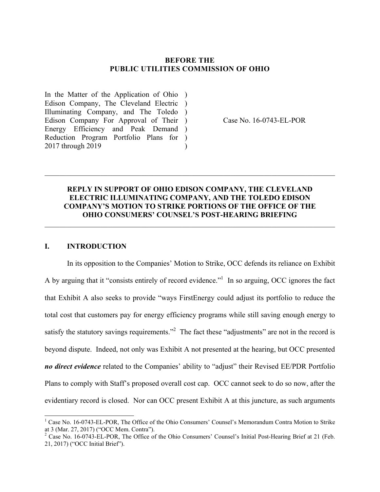#### **BEFORE THE PUBLIC UTILITIES COMMISSION OF OHIO**

In the Matter of the Application of Ohio ) Edison Company, The Cleveland Electric ) Illuminating Company, and The Toledo ) Edison Company For Approval of Their ) Energy Efficiency and Peak Demand ) Reduction Program Portfolio Plans for ) 2017 through 2019  $\lambda$ 

Case No. 16-0743-EL-POR

## **REPLY IN SUPPORT OF OHIO EDISON COMPANY, THE CLEVELAND ELECTRIC ILLUMINATING COMPANY, AND THE TOLEDO EDISON COMPANY'S MOTION TO STRIKE PORTIONS OF THE OFFICE OF THE OHIO CONSUMERS' COUNSEL'S POST-HEARING BRIEFING**

 $\_$  , and the contribution of the contribution of the contribution of the contribution of  $\mathcal{L}_\text{max}$ 

 $\_$  , and the contribution of the contribution of the contribution of the contribution of  $\mathcal{L}_\text{max}$ 

### **I. INTRODUCTION**

 $\overline{\phantom{a}}$ 

In its opposition to the Companies' Motion to Strike, OCC defends its reliance on Exhibit A by arguing that it "consists entirely of record evidence." In so arguing, OCC ignores the fact that Exhibit A also seeks to provide "ways FirstEnergy could adjust its portfolio to reduce the total cost that customers pay for energy efficiency programs while still saving enough energy to satisfy the statutory savings requirements.<sup>32</sup> The fact these "adjustments" are not in the record is beyond dispute. Indeed, not only was Exhibit A not presented at the hearing, but OCC presented *no direct evidence* related to the Companies' ability to "adjust" their Revised EE/PDR Portfolio Plans to comply with Staff's proposed overall cost cap. OCC cannot seek to do so now, after the evidentiary record is closed. Nor can OCC present Exhibit A at this juncture, as such arguments

<sup>&</sup>lt;sup>1</sup> Case No. 16-0743-EL-POR, The Office of the Ohio Consumers' Counsel's Memorandum Contra Motion to Strike at 3 (Mar. 27, 2017) ("OCC Mem. Contra").

<sup>&</sup>lt;sup>2</sup> Case No. 16-0743-EL-POR, The Office of the Ohio Consumers' Counsel's Initial Post-Hearing Brief at 21 (Feb. 21, 2017) ("OCC Initial Brief").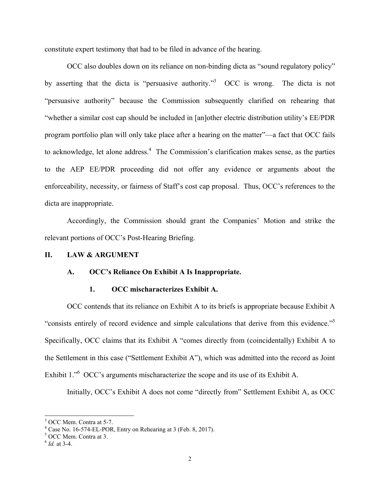constitute expert testimony that had to be filed in advance of the hearing.

 OCC also doubles down on its reliance on non-binding dicta as "sound regulatory policy" by asserting that the dicta is "persuasive authority."<sup>3</sup> OCC is wrong. The dicta is not "persuasive authority" because the Commission subsequently clarified on rehearing that "whether a similar cost cap should be included in [an]other electric distribution utility's EE/PDR program portfolio plan will only take place after a hearing on the matter"—a fact that OCC fails to acknowledge, let alone address.<sup>4</sup> The Commission's clarification makes sense, as the parties to the AEP EE/PDR proceeding did not offer any evidence or arguments about the enforceability, necessity, or fairness of Staff's cost cap proposal. Thus, OCC's references to the dicta are inappropriate.

Accordingly, the Commission should grant the Companies' Motion and strike the relevant portions of OCC's Post-Hearing Briefing.

#### **II. LAW & ARGUMENT**

#### **A. OCC's Reliance On Exhibit A Is Inappropriate.**

#### **1. OCC mischaracterizes Exhibit A.**

 OCC contends that its reliance on Exhibit A to its briefs is appropriate because Exhibit A "consists entirely of record evidence and simple calculations that derive from this evidence."<sup>5</sup> Specifically, OCC claims that its Exhibit A "comes directly from (coincidentally) Exhibit A to the Settlement in this case ("Settlement Exhibit A"), which was admitted into the record as Joint Exhibit 1.<sup>to</sup> OCC's arguments mischaracterize the scope and its use of its Exhibit A.

Initially, OCC's Exhibit A does not come "directly from" Settlement Exhibit A, as OCC

<sup>&</sup>lt;sup>3</sup> OCC Mem. Contra at 5-7.

<sup>&</sup>lt;sup>4</sup> Case No. 16-574-EL-POR, Entry on Rehearing at 3 (Feb. 8, 2017).

<sup>5</sup> OCC Mem. Contra at 3.

<sup>6</sup> *Id.* at 3-4.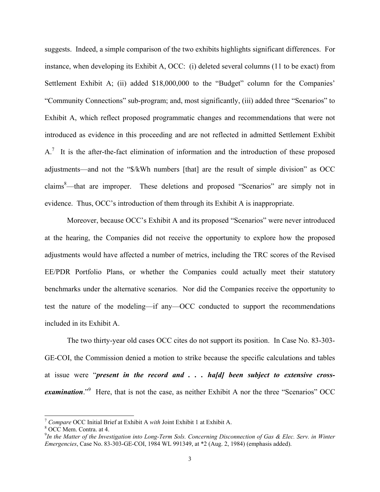suggests. Indeed, a simple comparison of the two exhibits highlights significant differences. For instance, when developing its Exhibit A, OCC: (i) deleted several columns (11 to be exact) from Settlement Exhibit A; (ii) added \$18,000,000 to the "Budget" column for the Companies' "Community Connections" sub-program; and, most significantly, (iii) added three "Scenarios" to Exhibit A, which reflect proposed programmatic changes and recommendations that were not introduced as evidence in this proceeding and are not reflected in admitted Settlement Exhibit  $A$ <sup>7</sup>. It is the after-the-fact elimination of information and the introduction of these proposed adjustments—and not the "\$/kWh numbers [that] are the result of simple division" as OCC claims<sup>8</sup>—that are improper. These deletions and proposed "Scenarios" are simply not in evidence. Thus, OCC's introduction of them through its Exhibit A is inappropriate.

 Moreover, because OCC's Exhibit A and its proposed "Scenarios" were never introduced at the hearing, the Companies did not receive the opportunity to explore how the proposed adjustments would have affected a number of metrics, including the TRC scores of the Revised EE/PDR Portfolio Plans, or whether the Companies could actually meet their statutory benchmarks under the alternative scenarios. Nor did the Companies receive the opportunity to test the nature of the modeling—if any—OCC conducted to support the recommendations included in its Exhibit A.

 The two thirty-year old cases OCC cites do not support its position. In Case No. 83-303- GE-COI, the Commission denied a motion to strike because the specific calculations and tables at issue were "*present in the record and . . . ha[d] been subject to extensive cross*examination.<sup>"9</sup> Here, that is not the case, as neither Exhibit A nor the three "Scenarios" OCC

<sup>7</sup> *Compare* OCC Initial Brief at Exhibit A *with* Joint Exhibit 1 at Exhibit A. 8

<sup>&</sup>lt;sup>8</sup> OCC Mem. Contra. at 4.

<sup>9</sup> *In the Matter of the Investigation into Long-Term Sols. Concerning Disconnection of Gas & Elec. Serv. in Winter Emergencies*, Case No. 83-303-GE-COI, 1984 WL 991349, at \*2 (Aug. 2, 1984) (emphasis added).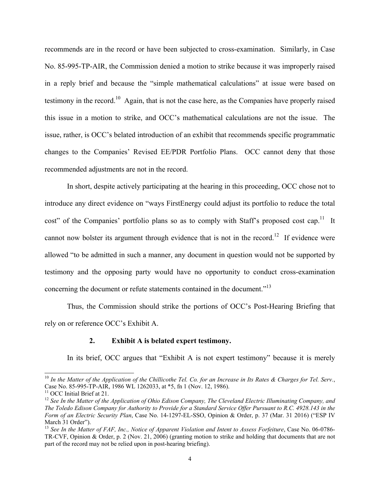recommends are in the record or have been subjected to cross-examination. Similarly, in Case No. 85-995-TP-AIR, the Commission denied a motion to strike because it was improperly raised in a reply brief and because the "simple mathematical calculations" at issue were based on testimony in the record.10 Again, that is not the case here, as the Companies have properly raised this issue in a motion to strike, and OCC's mathematical calculations are not the issue. The issue, rather, is OCC's belated introduction of an exhibit that recommends specific programmatic changes to the Companies' Revised EE/PDR Portfolio Plans. OCC cannot deny that those recommended adjustments are not in the record.

 In short, despite actively participating at the hearing in this proceeding, OCC chose not to introduce any direct evidence on "ways FirstEnergy could adjust its portfolio to reduce the total cost" of the Companies' portfolio plans so as to comply with Staff's proposed cost cap.<sup>11</sup> It cannot now bolster its argument through evidence that is not in the record.<sup>12</sup> If evidence were allowed "to be admitted in such a manner, any document in question would not be supported by testimony and the opposing party would have no opportunity to conduct cross-examination concerning the document or refute statements contained in the document."<sup>13</sup>

 Thus, the Commission should strike the portions of OCC's Post-Hearing Briefing that rely on or reference OCC's Exhibit A.

#### **2. Exhibit A is belated expert testimony.**

In its brief, OCC argues that "Exhibit A is not expert testimony" because it is merely

<sup>10</sup> *In the Matter of the Application of the Chillicothe Tel. Co. for an Increase in Its Rates & Charges for Tel. Serv.*, Case No. 85-995-TP-AIR, 1986 WL 1262033, at \*5, fn 1 (Nov. 12, 1986).

<sup>&</sup>lt;sup>11</sup> OCC Initial Brief at 21.

<sup>12</sup> *See In the Matter of the Application of Ohio Edison Company, The Cleveland Electric Illuminating Company, and The Toledo Edison Company for Authority to Provide for a Standard Service Offer Pursuant to R.C. 4928.143 in the Form of an Electric Security Plan*, Case No. 14-1297-EL-SSO, Opinion & Order, p. 37 (Mar. 31 2016) ("ESP IV March 31 Order").

<sup>&</sup>lt;sup>13</sup> See In the Matter of FAF, Inc., Notice of Apparent Violation and Intent to Assess Forfeiture, Case No. 06-0786-TR-CVF, Opinion & Order, p. 2 (Nov. 21, 2006) (granting motion to strike and holding that documents that are not part of the record may not be relied upon in post-hearing briefing).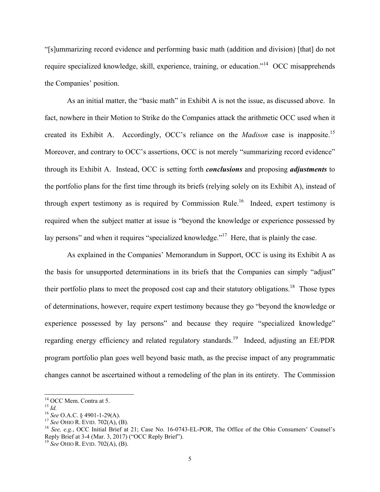"[s]ummarizing record evidence and performing basic math (addition and division) [that] do not require specialized knowledge, skill, experience, training, or education."<sup>14</sup> OCC misapprehends the Companies' position.

 As an initial matter, the "basic math" in Exhibit A is not the issue, as discussed above. In fact, nowhere in their Motion to Strike do the Companies attack the arithmetic OCC used when it created its Exhibit A. Accordingly, OCC's reliance on the *Madison* case is inapposite.15 Moreover, and contrary to OCC's assertions, OCC is not merely "summarizing record evidence" through its Exhibit A. Instead, OCC is setting forth *conclusions* and proposing *adjustments* to the portfolio plans for the first time through its briefs (relying solely on its Exhibit A), instead of through expert testimony as is required by Commission Rule.<sup>16</sup> Indeed, expert testimony is required when the subject matter at issue is "beyond the knowledge or experience possessed by lay persons" and when it requires "specialized knowledge."<sup>17</sup> Here, that is plainly the case.

 As explained in the Companies' Memorandum in Support, OCC is using its Exhibit A as the basis for unsupported determinations in its briefs that the Companies can simply "adjust" their portfolio plans to meet the proposed cost cap and their statutory obligations.<sup>18</sup> Those types of determinations, however, require expert testimony because they go "beyond the knowledge or experience possessed by lay persons" and because they require "specialized knowledge" regarding energy efficiency and related regulatory standards.<sup>19</sup> Indeed, adjusting an EE/PDR program portfolio plan goes well beyond basic math, as the precise impact of any programmatic changes cannot be ascertained without a remodeling of the plan in its entirety. The Commission

<sup>&</sup>lt;sup>14</sup> OCC Mem. Contra at 5.

<sup>&</sup>lt;sup>15</sup> *Id.*<br><sup>16</sup> *See* O.A.C. § 4901-1-29(A).<br><sup>17</sup> *See* OHIO R. EVID. 702(A), (B).<br><sup>18</sup> *See, e.g.*, OCC Initial Brief at 21; Case No. 16-0743-EL-POR, The Office of the Ohio Consumers' Counsel's Reply Brief at 3-4 (Mar. 3, 2017) ("OCC Reply Brief").

<sup>19</sup> *See* OHIO R. EVID. 702(A), (B).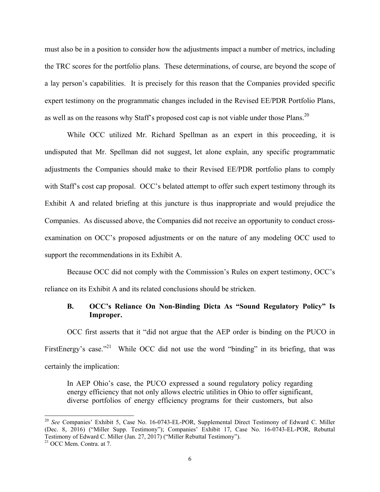must also be in a position to consider how the adjustments impact a number of metrics, including the TRC scores for the portfolio plans. These determinations, of course, are beyond the scope of a lay person's capabilities. It is precisely for this reason that the Companies provided specific expert testimony on the programmatic changes included in the Revised EE/PDR Portfolio Plans, as well as on the reasons why Staff's proposed cost cap is not viable under those Plans.<sup>20</sup>

 While OCC utilized Mr. Richard Spellman as an expert in this proceeding, it is undisputed that Mr. Spellman did not suggest, let alone explain, any specific programmatic adjustments the Companies should make to their Revised EE/PDR portfolio plans to comply with Staff's cost cap proposal. OCC's belated attempt to offer such expert testimony through its Exhibit A and related briefing at this juncture is thus inappropriate and would prejudice the Companies. As discussed above, the Companies did not receive an opportunity to conduct crossexamination on OCC's proposed adjustments or on the nature of any modeling OCC used to support the recommendations in its Exhibit A.

 Because OCC did not comply with the Commission's Rules on expert testimony, OCC's reliance on its Exhibit A and its related conclusions should be stricken.

### **B. OCC's Reliance On Non-Binding Dicta As "Sound Regulatory Policy" Is Improper.**

OCC first asserts that it "did not argue that the AEP order is binding on the PUCO in FirstEnergy's case."<sup>21</sup> While OCC did not use the word "binding" in its briefing, that was certainly the implication:

In AEP Ohio's case, the PUCO expressed a sound regulatory policy regarding energy efficiency that not only allows electric utilities in Ohio to offer significant, diverse portfolios of energy efficiency programs for their customers, but also

<sup>20</sup> *See* Companies' Exhibit 5, Case No. 16-0743-EL-POR, Supplemental Direct Testimony of Edward C. Miller (Dec. 8, 2016) ("Miller Supp. Testimony"); Companies' Exhibit 17, Case No. 16-0743-EL-POR, Rebuttal Testimony of Edward C. Miller (Jan. 27, 2017) ("Miller Rebuttal Testimony"). 21 OCC Mem. Contra. at 7.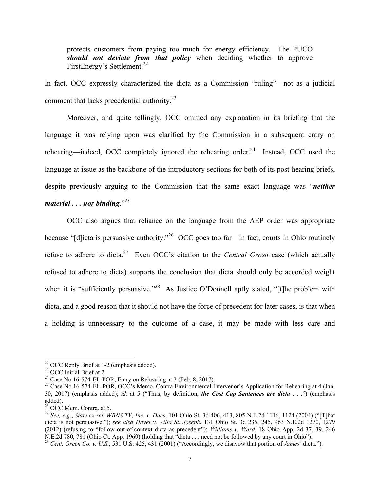protects customers from paying too much for energy efficiency. The PUCO *should not deviate from that policy* when deciding whether to approve FirstEnergy's Settlement.<sup>22</sup>

In fact, OCC expressly characterized the dicta as a Commission "ruling"—not as a judicial comment that lacks precedential authority.23

 Moreover, and quite tellingly, OCC omitted any explanation in its briefing that the language it was relying upon was clarified by the Commission in a subsequent entry on rehearing—indeed, OCC completely ignored the rehearing order. $^{24}$  Instead, OCC used the language at issue as the backbone of the introductory sections for both of its post-hearing briefs, despite previously arguing to the Commission that the same exact language was "*neither material . . . nor binding*."25

 OCC also argues that reliance on the language from the AEP order was appropriate because "[d]icta is persuasive authority."26 OCC goes too far—in fact, courts in Ohio routinely refuse to adhere to dicta.27 Even OCC's citation to the *Central Green* case (which actually refused to adhere to dicta) supports the conclusion that dicta should only be accorded weight when it is "sufficiently persuasive."<sup>28</sup> As Justice O'Donnell aptly stated, "[t]he problem with dicta, and a good reason that it should not have the force of precedent for later cases, is that when a holding is unnecessary to the outcome of a case, it may be made with less care and

 $22$  OCC Reply Brief at 1-2 (emphasis added).

<sup>&</sup>lt;sup>23</sup> OCC Initial Brief at 2.

<sup>&</sup>lt;sup>24</sup> Case No.16-574-EL-POR, Entry on Rehearing at 3 (Feb. 8, 2017).

<sup>&</sup>lt;sup>25</sup> Case No.16-574-EL-POR, OCC's Memo. Contra Environmental Intervenor's Application for Rehearing at 4 (Jan. 30, 2017) (emphasis added); *id.* at 5 ("Thus, by definition, *the Cost Cap Sentences are dicta* . . .") (emphasis added).

<sup>26</sup> OCC Mem. Contra. at 5.

<sup>27</sup> *See, e.g.*, *State ex rel. WBNS TV, Inc. v. Dues*, 101 Ohio St. 3d 406, 413, 805 N.E.2d 1116, 1124 (2004) ("[T]hat dicta is not persuasive."); *see also Havel v. Villa St. Joseph*, 131 Ohio St. 3d 235, 245, 963 N.E.2d 1270, 1279 (2012) (refusing to "follow out-of-context dicta as precedent"); *Williams v. Ward*, 18 Ohio App. 2d 37, 39, 246 N.E.2d 780, 781 (Ohio Ct. App. 1969) (holding that "dicta . . . need not be followed by any court in Ohio").

<sup>28</sup> *Cent. Green Co. v. U.S.*, 531 U.S. 425, 431 (2001) ("Accordingly, we disavow that portion of *James'* dicta.").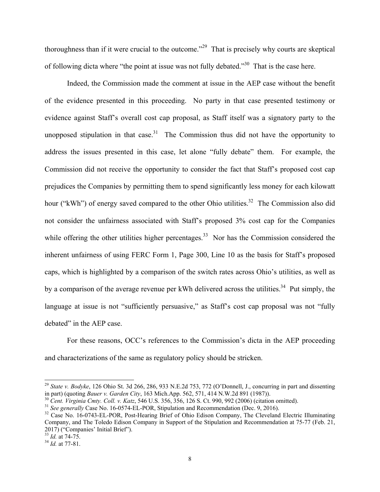thoroughness than if it were crucial to the outcome."29 That is precisely why courts are skeptical of following dicta where "the point at issue was not fully debated."30 That is the case here.

 Indeed, the Commission made the comment at issue in the AEP case without the benefit of the evidence presented in this proceeding. No party in that case presented testimony or evidence against Staff's overall cost cap proposal, as Staff itself was a signatory party to the unopposed stipulation in that case.<sup>31</sup> The Commission thus did not have the opportunity to address the issues presented in this case, let alone "fully debate" them. For example, the Commission did not receive the opportunity to consider the fact that Staff's proposed cost cap prejudices the Companies by permitting them to spend significantly less money for each kilowatt hour ("kWh") of energy saved compared to the other Ohio utilities.<sup>32</sup> The Commission also did not consider the unfairness associated with Staff's proposed 3% cost cap for the Companies while offering the other utilities higher percentages.<sup>33</sup> Nor has the Commission considered the inherent unfairness of using FERC Form 1, Page 300, Line 10 as the basis for Staff's proposed caps, which is highlighted by a comparison of the switch rates across Ohio's utilities, as well as by a comparison of the average revenue per kWh delivered across the utilities.<sup>34</sup> Put simply, the language at issue is not "sufficiently persuasive," as Staff's cost cap proposal was not "fully debated" in the AEP case.

 For these reasons, OCC's references to the Commission's dicta in the AEP proceeding and characterizations of the same as regulatory policy should be stricken.

l

<sup>29</sup> *State v. Bodyke*, 126 Ohio St. 3d 266, 286, 933 N.E.2d 753, 772 (O'Donnell, J., concurring in part and dissenting in part) (quoting *Bauer v. Garden City*, 163 Mich.App. 562, 571, 414 N.W.2d 891 (1987)).<br><sup>30</sup> Cent. Virginia Cmty. Coll. v. Katz, 546 U.S. 356, 356, 126 S. Ct. 990, 992 (2006) (citation omitted).<br><sup>31</sup> See generally Case

Company, and The Toledo Edison Company in Support of the Stipulation and Recommendation at 75-77 (Feb. 21, 2017) ("Companies' Initial Brief").

<sup>33</sup> *Id.* at 74-75. 34 *Id.* at 77-81.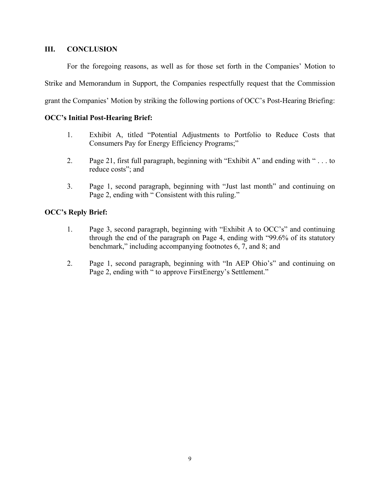### **III. CONCLUSION**

For the foregoing reasons, as well as for those set forth in the Companies' Motion to Strike and Memorandum in Support, the Companies respectfully request that the Commission grant the Companies' Motion by striking the following portions of OCC's Post-Hearing Briefing:

## **OCC's Initial Post-Hearing Brief:**

- 1. Exhibit A, titled "Potential Adjustments to Portfolio to Reduce Costs that Consumers Pay for Energy Efficiency Programs;"
- 2. Page 21, first full paragraph, beginning with "Exhibit A" and ending with " . . . to reduce costs"; and
- 3. Page 1, second paragraph, beginning with "Just last month" and continuing on Page 2, ending with " Consistent with this ruling."

## **OCC's Reply Brief:**

- 1. Page 3, second paragraph, beginning with "Exhibit A to OCC's" and continuing through the end of the paragraph on Page 4, ending with "99.6% of its statutory benchmark," including accompanying footnotes 6, 7, and 8; and
- 2. Page 1, second paragraph, beginning with "In AEP Ohio's" and continuing on Page 2, ending with " to approve FirstEnergy's Settlement."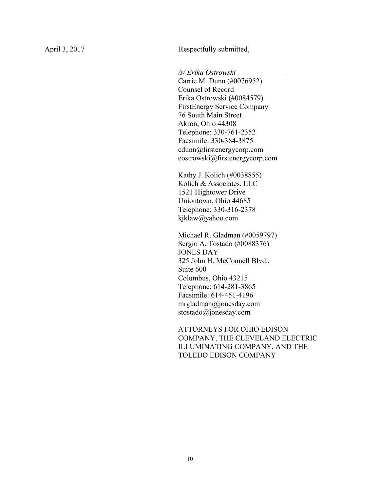April 3, 2017 Respectfully submitted,

*/s/ Erika Ostrowski .*

Carrie M. Dunn (#0076952) Counsel of Record Erika Ostrowski (#0084579) FirstEnergy Service Company 76 South Main Street Akron, Ohio 44308 Telephone: 330-761-2352 Facsimile: 330-384-3875 cdunn@firstenergycorp.com eostrowski@firstenergycorp.com

Kathy J. Kolich (#0038855) Kolich & Associates, LLC 1521 Hightower Drive Uniontown, Ohio 44685 Telephone: 330-316-2378 kjklaw@yahoo.com

Michael R. Gladman (#0059797) Sergio A. Tostado (#0088376) JONES DAY 325 John H. McConnell Blvd., Suite 600 Columbus, Ohio 43215 Telephone: 614-281-3865 Facsimile: 614-451-4196 mrgladman@jonesday.com stostado@jonesday.com

ATTORNEYS FOR OHIO EDISON COMPANY, THE CLEVELAND ELECTRIC ILLUMINATING COMPANY, AND THE TOLEDO EDISON COMPANY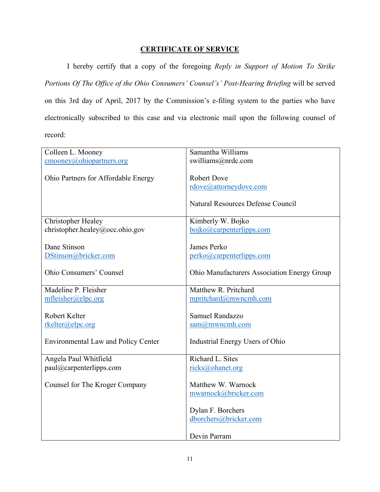## **CERTIFICATE OF SERVICE**

 I hereby certify that a copy of the foregoing *Reply in Support of Motion To Strike Portions Of The Office of the Ohio Consumers' Counsel's' Post-Hearing Briefing* will be served on this 3rd day of April, 2017 by the Commission's e-filing system to the parties who have electronically subscribed to this case and via electronic mail upon the following counsel of record:

| Colleen L. Mooney                          | Samantha Williams                           |
|--------------------------------------------|---------------------------------------------|
| cmooney@ohiopartners.org                   | swilliams@nrdc.com                          |
|                                            |                                             |
| Ohio Partners for Affordable Energy        | <b>Robert Dove</b>                          |
|                                            | rdove@attorneydove.com                      |
|                                            |                                             |
|                                            | Natural Resources Defense Council           |
|                                            |                                             |
| <b>Christopher Healey</b>                  | Kimberly W. Bojko                           |
| christopher.healey@occ.ohio.gov            | bojko@carpenterlipps.com                    |
|                                            |                                             |
| Dane Stinson                               | James Perko                                 |
| DStinson@bricker.com                       | perko@carpenterlipps.com                    |
|                                            |                                             |
| <b>Ohio Consumers' Counsel</b>             | Ohio Manufacturers Association Energy Group |
| Madeline P. Fleisher                       | Matthew R. Pritchard                        |
| mfleisher@elpc.org                         | mpritchard@mwncmh.com                       |
|                                            |                                             |
| Robert Kelter                              | Samuel Randazzo                             |
| rkelter@elpc.org                           | $sam@m$ wncmh.com                           |
|                                            |                                             |
| <b>Environmental Law and Policy Center</b> | Industrial Energy Users of Ohio             |
|                                            |                                             |
| Angela Paul Whitfield                      | Richard L. Sites                            |
| paul@carpenterlipps.com                    | ricks@ohanet.org                            |
|                                            |                                             |
| Counsel for The Kroger Company             | Matthew W. Warnock                          |
|                                            | mwarnock@bricker.com                        |
|                                            |                                             |
|                                            | Dylan F. Borchers                           |
|                                            | dborchers@bricker.com                       |
|                                            |                                             |
|                                            | Devin Parram                                |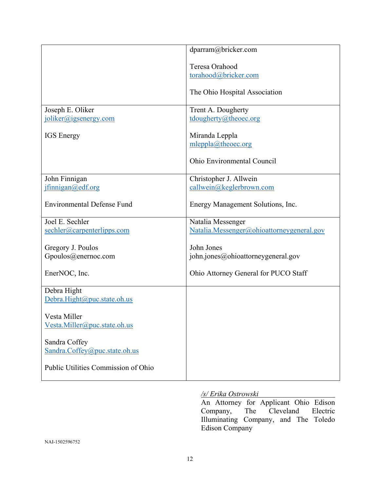|                                     | dparram@bricker.com                       |
|-------------------------------------|-------------------------------------------|
|                                     | Teresa Orahood                            |
|                                     | torahood@bricker.com                      |
|                                     | The Ohio Hospital Association             |
| Joseph E. Oliker                    | Trent A. Dougherty                        |
| joliker@jgsenergy.com               | tdougherty@theoec.org                     |
| <b>IGS</b> Energy                   | Miranda Leppla<br>mleppla@theoec.org      |
|                                     | Ohio Environmental Council                |
| John Finnigan                       | Christopher J. Allwein                    |
| jfinnigan@edf.org                   | callwein@keglerbrown.com                  |
| <b>Environmental Defense Fund</b>   | Energy Management Solutions, Inc.         |
| Joel E. Sechler                     | Natalia Messenger                         |
| sechler@carpenterlipps.com          | Natalia.Messenger@ohioattorneygeneral.gov |
| Gregory J. Poulos                   | John Jones                                |
| Gpoulos@enernoc.com                 | john.jones@ohioattorneygeneral.gov        |
| EnerNOC, Inc.                       | Ohio Attorney General for PUCO Staff      |
| Debra Hight                         |                                           |
| Debra.Hight@puc.state.oh.us         |                                           |
| Vesta Miller                        |                                           |
| Vesta.Miller@puc.state.oh.us        |                                           |
| Sandra Coffey                       |                                           |
| Sandra.Coffey@puc.state.oh.us       |                                           |
| Public Utilities Commission of Ohio |                                           |

# */s/ Erika Ostrowski*

An Attorney for Applicant Ohio Edison<br>Company, The Cleveland Electric Cleveland Electric Illuminating Company, and The Toledo Edison Company